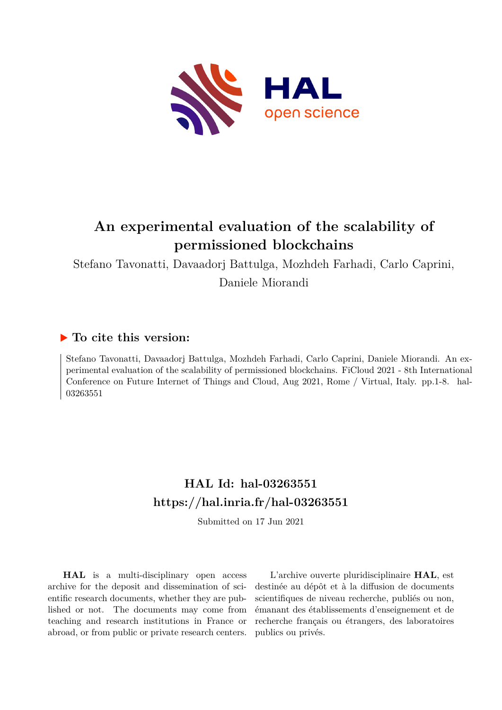

# **An experimental evaluation of the scalability of permissioned blockchains**

Stefano Tavonatti, Davaadorj Battulga, Mozhdeh Farhadi, Carlo Caprini, Daniele Miorandi

# **To cite this version:**

Stefano Tavonatti, Davaadorj Battulga, Mozhdeh Farhadi, Carlo Caprini, Daniele Miorandi. An experimental evaluation of the scalability of permissioned blockchains. FiCloud 2021 - 8th International Conference on Future Internet of Things and Cloud, Aug 2021, Rome / Virtual, Italy. pp.1-8. hal-03263551

# **HAL Id: hal-03263551 <https://hal.inria.fr/hal-03263551>**

Submitted on 17 Jun 2021

**HAL** is a multi-disciplinary open access archive for the deposit and dissemination of scientific research documents, whether they are published or not. The documents may come from teaching and research institutions in France or abroad, or from public or private research centers.

L'archive ouverte pluridisciplinaire **HAL**, est destinée au dépôt et à la diffusion de documents scientifiques de niveau recherche, publiés ou non, émanant des établissements d'enseignement et de recherche français ou étrangers, des laboratoires publics ou privés.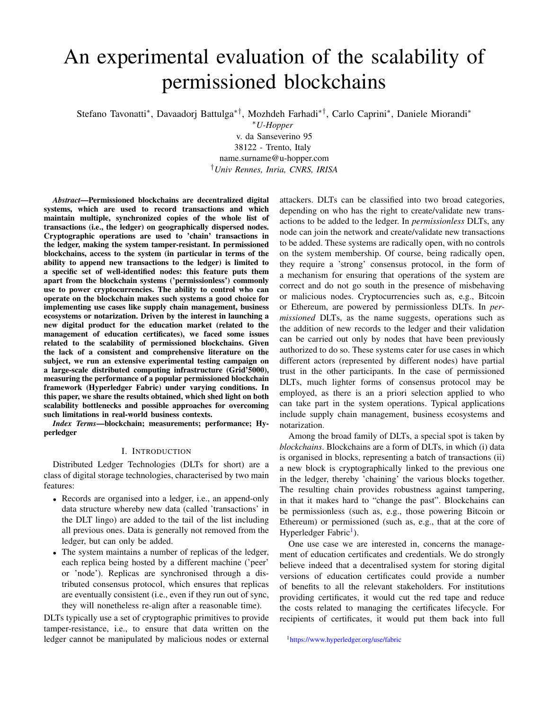# An experimental evaluation of the scalability of permissioned blockchains

Stefano Tavonatti<sup>∗</sup> , Davaadorj Battulga∗†, Mozhdeh Farhadi∗†, Carlo Caprini<sup>∗</sup> , Daniele Miorandi<sup>∗</sup>

<sup>∗</sup>*U-Hopper*

v. da Sanseverino 95 38122 - Trento, Italy name.surname@u-hopper.com †*Univ Rennes, Inria, CNRS, IRISA*

*Abstract*—Permissioned blockchains are decentralized digital systems, which are used to record transactions and which maintain multiple, synchronized copies of the whole list of transactions (i.e., the ledger) on geographically dispersed nodes. Cryptographic operations are used to 'chain' transactions in the ledger, making the system tamper-resistant. In permissioned blockchains, access to the system (in particular in terms of the ability to append new transactions to the ledger) is limited to a specific set of well-identified nodes: this feature puts them apart from the blockchain systems ('permissionless') commonly use to power cryptocurrencies. The ability to control who can operate on the blockchain makes such systems a good choice for implementing use cases like supply chain management, business ecosystems or notarization. Driven by the interest in launching a new digital product for the education market (related to the management of education certificates), we faced some issues related to the scalability of permissioned blockchains. Given the lack of a consistent and comprehensive literature on the subject, we run an extensive experimental testing campaign on a large-scale distributed computing infrastructure (Grid'5000), measuring the performance of a popular permissioned blockchain framework (Hyperledger Fabric) under varying conditions. In this paper, we share the results obtained, which shed light on both scalability bottlenecks and possible approaches for overcoming such limitations in real-world business contexts.

*Index Terms*—blockchain; measurements; performance; Hyperledger

# I. INTRODUCTION

Distributed Ledger Technologies (DLTs for short) are a class of digital storage technologies, characterised by two main features:

- Records are organised into a ledger, i.e., an append-only data structure whereby new data (called 'transactions' in the DLT lingo) are added to the tail of the list including all previous ones. Data is generally not removed from the ledger, but can only be added.
- The system maintains a number of replicas of the ledger, each replica being hosted by a different machine ('peer' or 'node'). Replicas are synchronised through a distributed consensus protocol, which ensures that replicas are eventually consistent (i.e., even if they run out of sync, they will nonetheless re-align after a reasonable time).

DLTs typically use a set of cryptographic primitives to provide tamper-resistance, i.e., to ensure that data written on the ledger cannot be manipulated by malicious nodes or external attackers. DLTs can be classified into two broad categories, depending on who has the right to create/validate new transactions to be added to the ledger. In *permissionless* DLTs, any node can join the network and create/validate new transactions to be added. These systems are radically open, with no controls on the system membership. Of course, being radically open, they require a 'strong' consensus protocol, in the form of a mechanism for ensuring that operations of the system are correct and do not go south in the presence of misbehaving or malicious nodes. Cryptocurrencies such as, e.g., Bitcoin or Ethereum, are powered by permissionless DLTs. In *permissioned* DLTs, as the name suggests, operations such as the addition of new records to the ledger and their validation can be carried out only by nodes that have been previously authorized to do so. These systems cater for use cases in which different actors (represented by different nodes) have partial trust in the other participants. In the case of permissioned DLTs, much lighter forms of consensus protocol may be employed, as there is an a priori selection applied to who can take part in the system operations. Typical applications include supply chain management, business ecosystems and notarization.

Among the broad family of DLTs, a special spot is taken by *blockchains*. Blockchains are a form of DLTs, in which (i) data is organised in blocks, representing a batch of transactions (ii) a new block is cryptographically linked to the previous one in the ledger, thereby 'chaining' the various blocks together. The resulting chain provides robustness against tampering, in that it makes hard to "change the past". Blockchains can be permissionless (such as, e.g., those powering Bitcoin or Ethereum) or permissioned (such as, e.g., that at the core of Hyperledger Fabric<sup>1</sup>).

One use case we are interested in, concerns the management of education certificates and credentials. We do strongly believe indeed that a decentralised system for storing digital versions of education certificates could provide a number of benefits to all the relevant stakeholders. For institutions providing certificates, it would cut the red tape and reduce the costs related to managing the certificates lifecycle. For recipients of certificates, it would put them back into full

<sup>1</sup><https://www.hyperledger.org/use/fabric>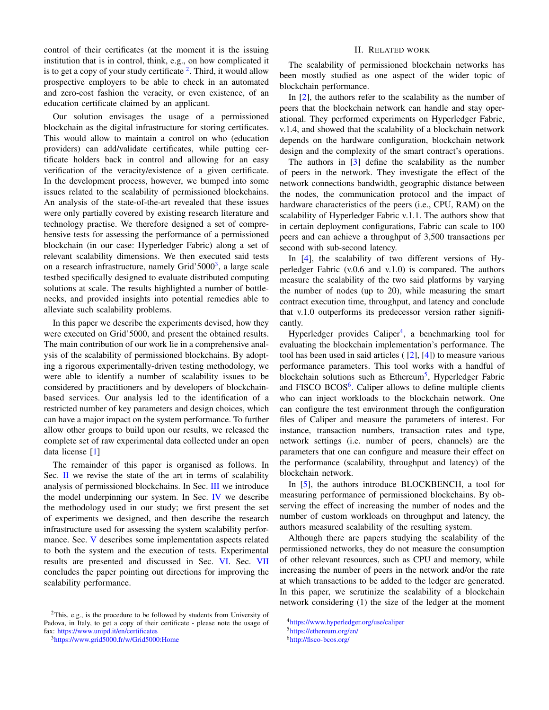control of their certificates (at the moment it is the issuing institution that is in control, think, e.g., on how complicated it is to get a copy of your study certificate  $2$ . Third, it would allow prospective employers to be able to check in an automated and zero-cost fashion the veracity, or even existence, of an education certificate claimed by an applicant.

Our solution envisages the usage of a permissioned blockchain as the digital infrastructure for storing certificates. This would allow to maintain a control on who (education providers) can add/validate certificates, while putting certificate holders back in control and allowing for an easy verification of the veracity/existence of a given certificate. In the development process, however, we bumped into some issues related to the scalability of permissioned blockchains. An analysis of the state-of-the-art revealed that these issues were only partially covered by existing research literature and technology practise. We therefore designed a set of comprehensive tests for assessing the performance of a permissioned blockchain (in our case: Hyperledger Fabric) along a set of relevant scalability dimensions. We then executed said tests on a research infrastructure, namely Grid'5000<sup>3</sup>, a large scale testbed specifically designed to evaluate distributed computing solutions at scale. The results highlighted a number of bottlenecks, and provided insights into potential remedies able to alleviate such scalability problems.

In this paper we describe the experiments devised, how they were executed on Grid'5000, and present the obtained results. The main contribution of our work lie in a comprehensive analysis of the scalability of permissioned blockchains. By adopting a rigorous experimentally-driven testing methodology, we were able to identify a number of scalability issues to be considered by practitioners and by developers of blockchainbased services. Our analysis led to the identification of a restricted number of key parameters and design choices, which can have a major impact on the system performance. To further allow other groups to build upon our results, we released the complete set of raw experimental data collected under an open data license [1]

The remainder of this paper is organised as follows. In Sec.  $\mathbf{I}$  we revise the state of the art in terms of scalability analysis of permissioned blockchains. In Sec. III we introduce the model underpinning our system. In Sec. IV we describe the methodology used in our study; we first present the set of experiments we designed, and then describe the research infrastructure used for assessing the system scalability performance. Sec. V describes some implementation aspects related to both the system and the execution of tests. Experimental results are presented and discussed in Sec. VI. Sec. VII concludes the paper pointing out directions for improving the scalability performance.

<sup>2</sup>This, e.g., is the procedure to be followed by students from University of Padova, in Italy, to get a copy of their certificate - please note the usage of fax: <https://www.unipd.it/en/certificates>

<sup>3</sup><https://www.grid5000.fr/w/Grid5000:Home>

# II. RELATED WORK

The scalability of permissioned blockchain networks has been mostly studied as one aspect of the wider topic of blockchain performance.

In [2], the authors refer to the scalability as the number of peers that the blockchain network can handle and stay operational. They performed experiments on Hyperledger Fabric, v.1.4, and showed that the scalability of a blockchain network depends on the hardware configuration, blockchain network design and the complexity of the smart contract's operations.

The authors in [3] define the scalability as the number of peers in the network. They investigate the effect of the network connections bandwidth, geographic distance between the nodes, the communication protocol and the impact of hardware characteristics of the peers (i.e., CPU, RAM) on the scalability of Hyperledger Fabric v.1.1. The authors show that in certain deployment configurations, Fabric can scale to 100 peers and can achieve a throughput of 3,500 transactions per second with sub-second latency.

In [4], the scalability of two different versions of Hyperledger Fabric (v.0.6 and v.1.0) is compared. The authors measure the scalability of the two said platforms by varying the number of nodes (up to 20), while measuring the smart contract execution time, throughput, and latency and conclude that v.1.0 outperforms its predecessor version rather significantly.

Hyperledger provides Caliper<sup>4</sup>, a benchmarking tool for evaluating the blockchain implementation's performance. The tool has been used in said articles  $([2], [4])$  to measure various performance parameters. This tool works with a handful of blockchain solutions such as Ethereum<sup>5</sup>, Hyperledger Fabric and FISCO BCOS<sup>6</sup>. Caliper allows to define multiple clients who can inject workloads to the blockchain network. One can configure the test environment through the configuration files of Caliper and measure the parameters of interest. For instance, transaction numbers, transaction rates and type, network settings (i.e. number of peers, channels) are the parameters that one can configure and measure their effect on the performance (scalability, throughput and latency) of the blockchain network.

In [5], the authors introduce BLOCKBENCH, a tool for measuring performance of permissioned blockchains. By observing the effect of increasing the number of nodes and the number of custom workloads on throughput and latency, the authors measured scalability of the resulting system.

Although there are papers studying the scalability of the permissioned networks, they do not measure the consumption of other relevant resources, such as CPU and memory, while increasing the number of peers in the network and/or the rate at which transactions to be added to the ledger are generated. In this paper, we scrutinize the scalability of a blockchain network considering (1) the size of the ledger at the moment

<sup>4</sup><https://www.hyperledger.org/use/caliper>

<sup>5</sup><https://ethereum.org/en/>

<sup>6</sup><http://fisco-bcos.org/>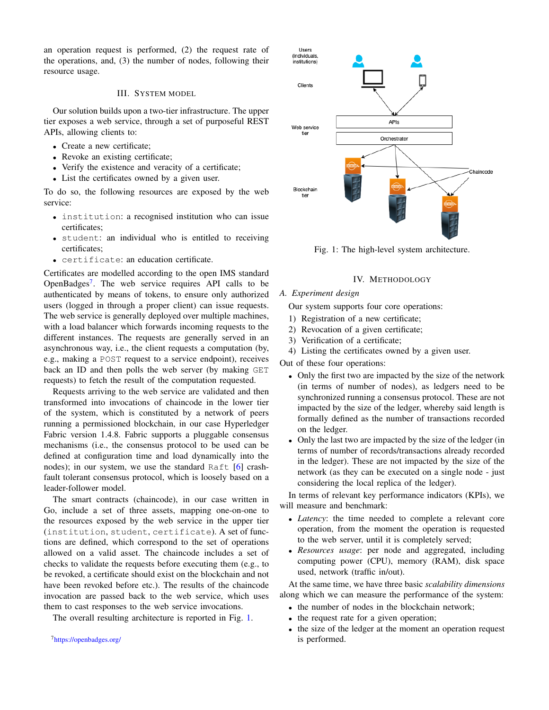an operation request is performed, (2) the request rate of the operations, and, (3) the number of nodes, following their resource usage.

# III. SYSTEM MODEL

Our solution builds upon a two-tier infrastructure. The upper tier exposes a web service, through a set of purposeful REST APIs, allowing clients to:

- Create a new certificate;
- Revoke an existing certificate;
- Verify the existence and veracity of a certificate;
- List the certificates owned by a given user.

To do so, the following resources are exposed by the web service:

- institution: a recognised institution who can issue certificates;
- student: an individual who is entitled to receiving certificates;
- certificate: an education certificate.

Certificates are modelled according to the open IMS standard OpenBadges<sup>7</sup>. The web service requires API calls to be authenticated by means of tokens, to ensure only authorized users (logged in through a proper client) can issue requests. The web service is generally deployed over multiple machines, with a load balancer which forwards incoming requests to the different instances. The requests are generally served in an asynchronous way, i.e., the client requests a computation (by, e.g., making a POST request to a service endpoint), receives back an ID and then polls the web server (by making GET requests) to fetch the result of the computation requested.

Requests arriving to the web service are validated and then transformed into invocations of chaincode in the lower tier of the system, which is constituted by a network of peers running a permissioned blockchain, in our case Hyperledger Fabric version 1.4.8. Fabric supports a pluggable consensus mechanisms (i.e., the consensus protocol to be used can be defined at configuration time and load dynamically into the nodes); in our system, we use the standard Raft [6] crashfault tolerant consensus protocol, which is loosely based on a leader-follower model.

The smart contracts (chaincode), in our case written in Go, include a set of three assets, mapping one-on-one to the resources exposed by the web service in the upper tier (institution, student, certificate). A set of functions are defined, which correspond to the set of operations allowed on a valid asset. The chaincode includes a set of checks to validate the requests before executing them (e.g., to be revoked, a certificate should exist on the blockchain and not have been revoked before etc.). The results of the chaincode invocation are passed back to the web service, which uses them to cast responses to the web service invocations.

The overall resulting architecture is reported in Fig. 1.



Fig. 1: The high-level system architecture.

# IV. METHODOLOGY

# *A. Experiment design*

Our system supports four core operations:

- 1) Registration of a new certificate;
- 2) Revocation of a given certificate;
- 3) Verification of a certificate;
- 4) Listing the certificates owned by a given user.

Out of these four operations:

- Only the first two are impacted by the size of the network (in terms of number of nodes), as ledgers need to be synchronized running a consensus protocol. These are not impacted by the size of the ledger, whereby said length is formally defined as the number of transactions recorded on the ledger.
- Only the last two are impacted by the size of the ledger (in terms of number of records/transactions already recorded in the ledger). These are not impacted by the size of the network (as they can be executed on a single node - just considering the local replica of the ledger).

In terms of relevant key performance indicators (KPIs), we will measure and benchmark:

- *Latency*: the time needed to complete a relevant core operation, from the moment the operation is requested to the web server, until it is completely served;
- *Resources usage*: per node and aggregated, including computing power (CPU), memory (RAM), disk space used, network (traffic in/out).

At the same time, we have three basic *scalability dimensions* along which we can measure the performance of the system:

- the number of nodes in the blockchain network;
- the request rate for a given operation;
- the size of the ledger at the moment an operation request is performed.

<sup>7</sup><https://openbadges.org/>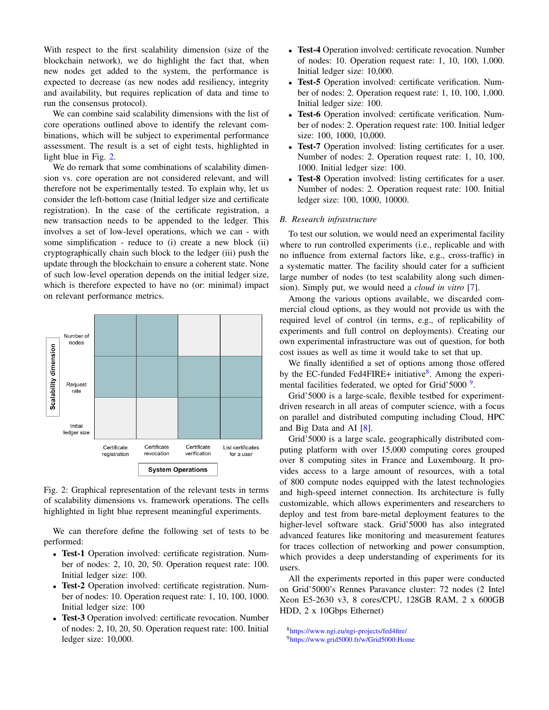With respect to the first scalability dimension (size of the blockchain network), we do highlight the fact that, when new nodes get added to the system, the performance is expected to decrease (as new nodes add resiliency, integrity and availability, but requires replication of data and time to run the consensus protocol).

We can combine said scalability dimensions with the list of core operations outlined above to identify the relevant combinations, which will be subject to experimental performance assessment. The result is a set of eight tests, highlighted in light blue in Fig. 2.

We do remark that some combinations of scalability dimension vs. core operation are not considered relevant, and will therefore not be experimentally tested. To explain why, let us consider the left-bottom case (Initial ledger size and certificate registration). In the case of the certificate registration, a new transaction needs to be appended to the ledger. This involves a set of low-level operations, which we can - with some simplification - reduce to (i) create a new block (ii) cryptographically chain such block to the ledger (iii) push the update through the blockchain to ensure a coherent state. None of such low-level operation depends on the initial ledger size, which is therefore expected to have no (or: minimal) impact on relevant performance metrics.



Fig. 2: Graphical representation of the relevant tests in terms of scalability dimensions vs. framework operations. The cells highlighted in light blue represent meaningful experiments.

We can therefore define the following set of tests to be performed:

- Test-1 Operation involved: certificate registration. Number of nodes: 2, 10, 20, 50. Operation request rate: 100. Initial ledger size: 100.
- Test-2 Operation involved: certificate registration. Number of nodes: 10. Operation request rate: 1, 10, 100, 1000. Initial ledger size: 100
- Test-3 Operation involved: certificate revocation. Number of nodes: 2, 10, 20, 50. Operation request rate: 100. Initial ledger size: 10,000.
- Test-4 Operation involved: certificate revocation. Number of nodes: 10. Operation request rate: 1, 10, 100, 1,000. Initial ledger size: 10,000.
- Test-5 Operation involved: certificate verification. Number of nodes: 2. Operation request rate: 1, 10, 100, 1,000. Initial ledger size: 100.
- Test-6 Operation involved: certificate verification. Number of nodes: 2. Operation request rate: 100. Initial ledger size: 100, 1000, 10,000.
- Test-7 Operation involved: listing certificates for a user. Number of nodes: 2. Operation request rate: 1, 10, 100, 1000. Initial ledger size: 100.
- Test-8 Operation involved: listing certificates for a user. Number of nodes: 2. Operation request rate: 100. Initial ledger size: 100, 1000, 10000.

## *B. Research infrastructure*

To test our solution, we would need an experimental facility where to run controlled experiments (i.e., replicable and with no influence from external factors like, e.g., cross-traffic) in a systematic matter. The facility should cater for a sufficient large number of nodes (to test scalability along such dimension). Simply put, we would need a *cloud in vitro* [7].

Among the various options available, we discarded commercial cloud options, as they would not provide us with the required level of control (in terms, e.g., of replicability of experiments and full control on deployments). Creating our own experimental infrastructure was out of question, for both cost issues as well as time it would take to set that up.

We finally identified a set of options among those offered by the EC-funded Fed4FIRE+ initiative<sup>8</sup>. Among the experimental facilities federated, we opted for Grid'5000<sup>9</sup>.

Grid'5000 is a large-scale, flexible testbed for experimentdriven research in all areas of computer science, with a focus on parallel and distributed computing including Cloud, HPC and Big Data and AI [8].

Grid'5000 is a large scale, geographically distributed computing platform with over 15,000 computing cores grouped over 8 computing sites in France and Luxembourg. It provides access to a large amount of resources, with a total of 800 compute nodes equipped with the latest technologies and high-speed internet connection. Its architecture is fully customizable, which allows experimenters and researchers to deploy and test from bare-metal deployment features to the higher-level software stack. Grid'5000 has also integrated advanced features like monitoring and measurement features for traces collection of networking and power consumption, which provides a deep understanding of experiments for its users.

All the experiments reported in this paper were conducted on Grid'5000's Rennes Paravance cluster: 72 nodes (2 Intel Xeon E5-2630 v3, 8 cores/CPU, 128GB RAM, 2 x 600GB HDD, 2 x 10Gbps Ethernet)

<sup>8</sup><https://www.ngi.eu/ngi-projects/fed4fire/> <sup>9</sup><https://www.grid5000.fr/w/Grid5000:Home>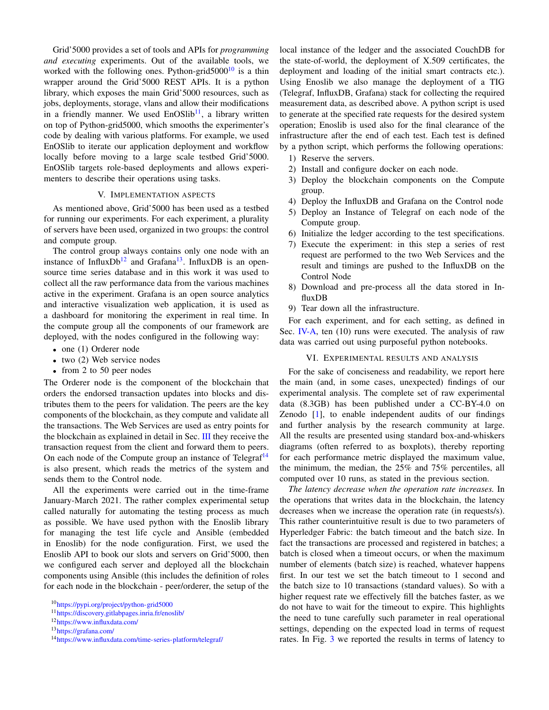Grid'5000 provides a set of tools and APIs for *programming and executing* experiments. Out of the available tools, we worked with the following ones. Python-grid $5000^{10}$  is a thin wrapper around the Grid'5000 REST APIs. It is a python library, which exposes the main Grid'5000 resources, such as jobs, deployments, storage, vlans and allow their modifications in a friendly manner. We used  $EnOSlib<sup>11</sup>$ , a library written on top of Python-grid5000, which smooths the experimenter's code by dealing with various platforms. For example, we used EnOSlib to iterate our application deployment and workflow locally before moving to a large scale testbed Grid'5000. EnOSlib targets role-based deployments and allows experimenters to describe their operations using tasks.

## V. IMPLEMENTATION ASPECTS

As mentioned above, Grid'5000 has been used as a testbed for running our experiments. For each experiment, a plurality of servers have been used, organized in two groups: the control and compute group.

The control group always contains only one node with an instance of InfluxDb<sup>12</sup> and Grafana<sup>13</sup>. InfluxDB is an opensource time series database and in this work it was used to collect all the raw performance data from the various machines active in the experiment. Grafana is an open source analytics and interactive visualization web application, it is used as a dashboard for monitoring the experiment in real time. In the compute group all the components of our framework are deployed, with the nodes configured in the following way:

- one (1) Orderer node
- two (2) Web service nodes
- from 2 to 50 peer nodes

The Orderer node is the component of the blockchain that orders the endorsed transaction updates into blocks and distributes them to the peers for validation. The peers are the key components of the blockchain, as they compute and validate all the transactions. The Web Services are used as entry points for the blockchain as explained in detail in Sec. III they receive the transaction request from the client and forward them to peers. On each node of the Compute group an instance of Telegraf<sup>14</sup> is also present, which reads the metrics of the system and sends them to the Control node.

All the experiments were carried out in the time-frame January-March 2021. The rather complex experimental setup called naturally for automating the testing process as much as possible. We have used python with the Enoslib library for managing the test life cycle and Ansible (embedded in Enoslib) for the node configuration. First, we used the Enoslib API to book our slots and servers on Grid'5000, then we configured each server and deployed all the blockchain components using Ansible (this includes the definition of roles for each node in the blockchain - peer/orderer, the setup of the local instance of the ledger and the associated CouchDB for the state-of-world, the deployment of X.509 certificates, the deployment and loading of the initial smart contracts etc.). Using Enoslib we also manage the deployment of a TIG (Telegraf, InfluxDB, Grafana) stack for collecting the required measurement data, as described above. A python script is used to generate at the specified rate requests for the desired system operation; Enoslib is used also for the final clearance of the infrastructure after the end of each test. Each test is defined by a python script, which performs the following operations:

- 1) Reserve the servers.
- 2) Install and configure docker on each node.
- 3) Deploy the blockchain components on the Compute group.
- 4) Deploy the InfluxDB and Grafana on the Control node
- 5) Deploy an Instance of Telegraf on each node of the Compute group.
- 6) Initialize the ledger according to the test specifications.
- 7) Execute the experiment: in this step a series of rest request are performed to the two Web Services and the result and timings are pushed to the InfluxDB on the Control Node
- 8) Download and pre-process all the data stored in InfluxDB
- 9) Tear down all the infrastructure.

For each experiment, and for each setting, as defined in Sec. IV-A, ten (10) runs were executed. The analysis of raw data was carried out using purposeful python notebooks.

# VI. EXPERIMENTAL RESULTS AND ANALYSIS

For the sake of conciseness and readability, we report here the main (and, in some cases, unexpected) findings of our experimental analysis. The complete set of raw experimental data (8.3GB) has been published under a CC-BY-4.0 on Zenodo [1], to enable independent audits of our findings and further analysis by the research community at large. All the results are presented using standard box-and-whiskers diagrams (often referred to as boxplots), thereby reporting for each performance metric displayed the maximum value, the minimum, the median, the 25% and 75% percentiles, all computed over 10 runs, as stated in the previous section.

*The latency decrease when the operation rate increases.* In the operations that writes data in the blockchain, the latency decreases when we increase the operation rate (in requests/s). This rather counterintuitive result is due to two parameters of Hyperledger Fabric: the batch timeout and the batch size. In fact the transactions are processed and registered in batches; a batch is closed when a timeout occurs, or when the maximum number of elements (batch size) is reached, whatever happens first. In our test we set the batch timeout to 1 second and the batch size to 10 transactions (standard values). So with a higher request rate we effectively fill the batches faster, as we do not have to wait for the timeout to expire. This highlights the need to tune carefully such parameter in real operational settings, depending on the expected load in terms of request rates. In Fig. 3 we reported the results in terms of latency to

<sup>10</sup><https://pypi.org/project/python-grid5000>

<sup>11</sup><https://discovery.gitlabpages.inria.fr/enoslib/>

<sup>12</sup><https://www.influxdata.com/>

<sup>13</sup><https://grafana.com/>

<sup>14</sup><https://www.influxdata.com/time-series-platform/telegraf/>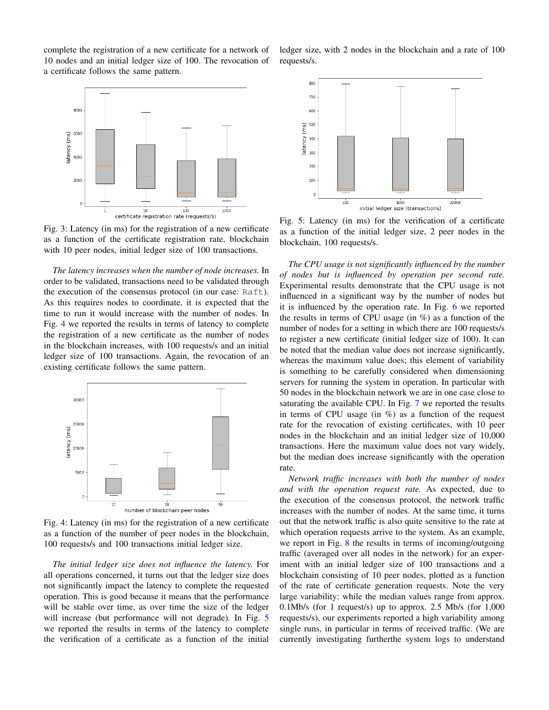complete the registration of a new certificate for a network of 10 nodes and an initial ledger size of 100. The revocation of a certificate follows the same pattern.



Fig. 3: Latency (in ms) for the registration of a new certificate as a function of the certificate registration rate, blockchain with 10 peer nodes, initial ledger size of 100 transactions.

*The latency increases when the number of node increases.* In order to be validated, transactions need to be validated through the execution of the consensus protocol (in our case: Raft). As this requires nodes to coordinate, it is expected that the time to run it would increase with the number of nodes. In Fig. 4 we reported the results in terms of latency to complete the registration of a new certificate as the number of nodes in the blockchain increases, with 100 requests/s and an initial ledger size of 100 transactions. Again, the revocation of an existing certificate follows the same pattern.



Fig. 4: Latency (in ms) for the registration of a new certificate as a function of the number of peer nodes in the blockchain, 100 requests/s and 100 transactions initial ledger size.

*The initial ledger size does not influence the latency.* For all operations concerned, it turns out that the ledger size does not significantly impact the latency to complete the requested operation. This is good because it means that the performance will be stable over time, as over time the size of the ledger will increase (but performance will not degrade). In Fig. 5 we reported the results in terms of the latency to complete the verification of a certificate as a function of the initial

ledger size, with 2 nodes in the blockchain and a rate of 100 requests/s.



Fig. 5: Latency (in ms) for the verification of a certificate as a function of the initial ledger size, 2 peer nodes in the blockchain, 100 requests/s.

*The CPU usage is not significantly influenced by the number of nodes but is influenced by operation per second rate.* Experimental results demonstrate that the CPU usage is not influenced in a significant way by the number of nodes but it is influenced by the operation rate. In Fig. 6 we reported the results in terms of CPU usage (in %) as a function of the number of nodes for a setting in which there are 100 requests/s to register a new certificate (initial ledger size of 100). It can be noted that the median value does not increase significantly, whereas the maximum value does; this element of variability is something to be carefully considered when dimensioning servers for running the system in operation. In particular with 50 nodes in the blockchain network we are in one case close to saturating the available CPU. In Fig. 7 we reported the results in terms of CPU usage (in  $\%$ ) as a function of the request rate for the revocation of existing certificates, with 10 peer nodes in the blockchain and an initial ledger size of 10,000 transactions. Here the maximum value does not vary widely, but the median does increase significantly with the operation rate.

*Network traffic increases with both the number of nodes and with the operation request rate.* As expected, due to the execution of the consensus protocol, the network traffic increases with the number of nodes. At the same time, it turns out that the network traffic is also quite sensitive to the rate at which operation requests arrive to the system. As an example, we report in Fig. 8 the results in terms of incoming/outgoing traffic (averaged over all nodes in the network) for an experiment with an initial ledger size of 100 transactions and a blockchain consisting of 10 peer nodes, plotted as a function of the rate of certificate generation requests. Note the very large variability: while the median values range from approx. 0.1Mb/s (for 1 request/s) up to approx. 2.5 Mb/s (for 1,000 requests/s), our experiments reported a high variability among single runs, in particular in terms of received traffic. (We are currently investigating furtherthe system logs to understand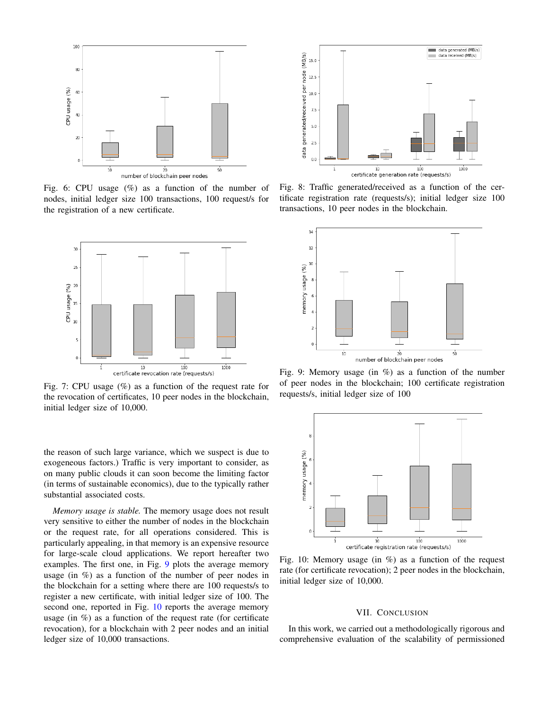

Fig. 6: CPU usage  $(\%)$  as a function of the number of nodes, initial ledger size 100 transactions, 100 request/s for the registration of a new certificate.



Fig. 7: CPU usage (%) as a function of the request rate for the revocation of certificates, 10 peer nodes in the blockchain, initial ledger size of 10,000.

the reason of such large variance, which we suspect is due to exogeneous factors.) Traffic is very important to consider, as on many public clouds it can soon become the limiting factor (in terms of sustainable economics), due to the typically rather substantial associated costs.

*Memory usage is stable.* The memory usage does not result very sensitive to either the number of nodes in the blockchain or the request rate, for all operations considered. This is particularly appealing, in that memory is an expensive resource for large-scale cloud applications. We report hereafter two examples. The first one, in Fig. 9 plots the average memory usage (in %) as a function of the number of peer nodes in the blockchain for a setting where there are 100 requests/s to register a new certificate, with initial ledger size of 100. The second one, reported in Fig. 10 reports the average memory usage (in %) as a function of the request rate (for certificate revocation), for a blockchain with 2 peer nodes and an initial ledger size of 10,000 transactions.



Fig. 8: Traffic generated/received as a function of the certificate registration rate (requests/s); initial ledger size 100 transactions, 10 peer nodes in the blockchain.



Fig. 9: Memory usage (in %) as a function of the number of peer nodes in the blockchain; 100 certificate registration requests/s, initial ledger size of 100



Fig. 10: Memory usage (in  $\%$ ) as a function of the request rate (for certificate revocation); 2 peer nodes in the blockchain, initial ledger size of 10,000.

# VII. CONCLUSION

In this work, we carried out a methodologically rigorous and comprehensive evaluation of the scalability of permissioned